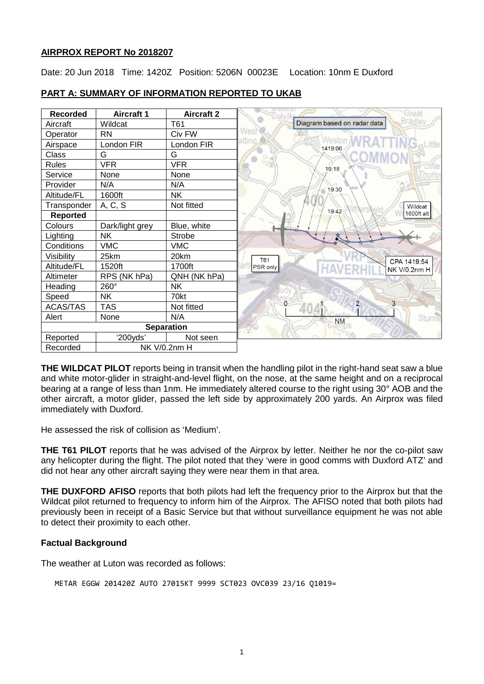## **AIRPROX REPORT No 2018207**

Date: 20 Jun 2018 Time: 1420Z Position: 5206N 00023E Location: 10nm E Duxford



# **PART A: SUMMARY OF INFORMATION REPORTED TO UKAB**

**THE WILDCAT PILOT** reports being in transit when the handling pilot in the right-hand seat saw a blue and white motor-glider in straight-and-level flight, on the nose, at the same height and on a reciprocal bearing at a range of less than 1nm. He immediately altered course to the right using 30° AOB and the other aircraft, a motor glider, passed the left side by approximately 200 yards. An Airprox was filed immediately with Duxford.

He assessed the risk of collision as 'Medium'.

**THE T61 PILOT** reports that he was advised of the Airprox by letter. Neither he nor the co-pilot saw any helicopter during the flight. The pilot noted that they 'were in good comms with Duxford ATZ' and did not hear any other aircraft saying they were near them in that area.

**THE DUXFORD AFISO** reports that both pilots had left the frequency prior to the Airprox but that the Wildcat pilot returned to frequency to inform him of the Airprox. The AFISO noted that both pilots had previously been in receipt of a Basic Service but that without surveillance equipment he was not able to detect their proximity to each other.

# **Factual Background**

The weather at Luton was recorded as follows:

```
METAR EGGW 201420Z AUTO 27015KT 9999 SCT023 OVC039 23/16 Q1019=
```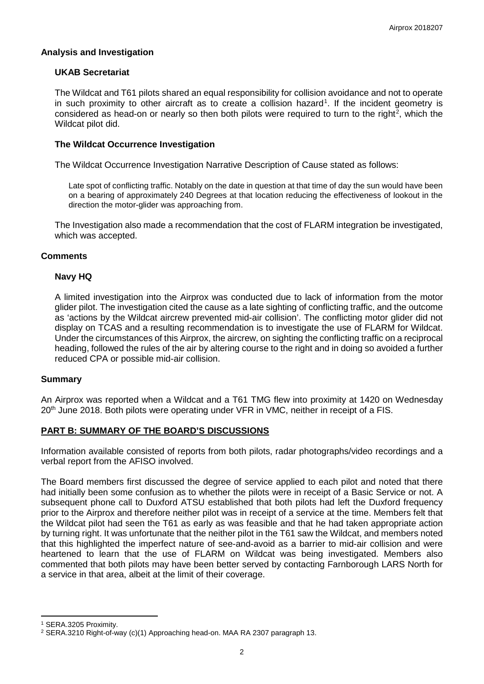### **Analysis and Investigation**

## **UKAB Secretariat**

The Wildcat and T61 pilots shared an equal responsibility for collision avoidance and not to operate in such proximity to other aircraft as to create a collision hazard<sup>[1](#page-1-0)</sup>. If the incident geometry is considered as head-on or nearly so then both pilots were required to turn to the right<sup>[2](#page-1-1)</sup>, which the Wildcat pilot did.

### **The Wildcat Occurrence Investigation**

The Wildcat Occurrence Investigation Narrative Description of Cause stated as follows:

Late spot of conflicting traffic. Notably on the date in question at that time of day the sun would have been on a bearing of approximately 240 Degrees at that location reducing the effectiveness of lookout in the direction the motor-glider was approaching from.

The Investigation also made a recommendation that the cost of FLARM integration be investigated, which was accepted.

### **Comments**

### **Navy HQ**

A limited investigation into the Airprox was conducted due to lack of information from the motor glider pilot. The investigation cited the cause as a late sighting of conflicting traffic, and the outcome as 'actions by the Wildcat aircrew prevented mid-air collision'. The conflicting motor glider did not display on TCAS and a resulting recommendation is to investigate the use of FLARM for Wildcat. Under the circumstances of this Airprox, the aircrew, on sighting the conflicting traffic on a reciprocal heading, followed the rules of the air by altering course to the right and in doing so avoided a further reduced CPA or possible mid-air collision.

#### **Summary**

An Airprox was reported when a Wildcat and a T61 TMG flew into proximity at 1420 on Wednesday 20<sup>th</sup> June 2018. Both pilots were operating under VFR in VMC, neither in receipt of a FIS.

# **PART B: SUMMARY OF THE BOARD'S DISCUSSIONS**

Information available consisted of reports from both pilots, radar photographs/video recordings and a verbal report from the AFISO involved.

The Board members first discussed the degree of service applied to each pilot and noted that there had initially been some confusion as to whether the pilots were in receipt of a Basic Service or not. A subsequent phone call to Duxford ATSU established that both pilots had left the Duxford frequency prior to the Airprox and therefore neither pilot was in receipt of a service at the time. Members felt that the Wildcat pilot had seen the T61 as early as was feasible and that he had taken appropriate action by turning right. It was unfortunate that the neither pilot in the T61 saw the Wildcat, and members noted that this highlighted the imperfect nature of see-and-avoid as a barrier to mid-air collision and were heartened to learn that the use of FLARM on Wildcat was being investigated. Members also commented that both pilots may have been better served by contacting Farnborough LARS North for a service in that area, albeit at the limit of their coverage.

l

<span id="page-1-0"></span><sup>1</sup> SERA.3205 Proximity.

<span id="page-1-1"></span><sup>2</sup> SERA.3210 Right-of-way (c)(1) Approaching head-on. MAA RA 2307 paragraph 13.